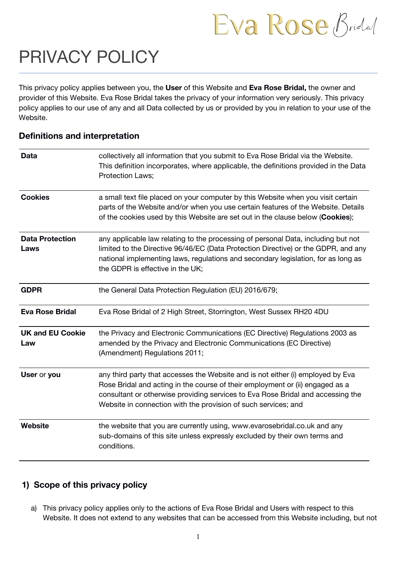# Eva Rose Bridal

# PRIVACY POLICY

This privacy policy applies between you, the **User** of this Website and **Eva Rose Bridal,** the owner and provider of this Website. Eva Rose Bridal takes the privacy of your information very seriously. This privacy policy applies to our use of any and all Data collected by us or provided by you in relation to your use of the Website.

| Data                           | collectively all information that you submit to Eva Rose Bridal via the Website.<br>This definition incorporates, where applicable, the definitions provided in the Data<br>Protection Laws;                                                                                                                          |
|--------------------------------|-----------------------------------------------------------------------------------------------------------------------------------------------------------------------------------------------------------------------------------------------------------------------------------------------------------------------|
| <b>Cookies</b>                 | a small text file placed on your computer by this Website when you visit certain<br>parts of the Website and/or when you use certain features of the Website. Details<br>of the cookies used by this Website are set out in the clause below (Cookies);                                                               |
| <b>Data Protection</b><br>Laws | any applicable law relating to the processing of personal Data, including but not<br>limited to the Directive 96/46/EC (Data Protection Directive) or the GDPR, and any<br>national implementing laws, regulations and secondary legislation, for as long as<br>the GDPR is effective in the UK;                      |
| <b>GDPR</b>                    | the General Data Protection Regulation (EU) 2016/679;                                                                                                                                                                                                                                                                 |
| <b>Eva Rose Bridal</b>         | Eva Rose Bridal of 2 High Street, Storrington, West Sussex RH20 4DU                                                                                                                                                                                                                                                   |
| <b>UK and EU Cookie</b><br>Law | the Privacy and Electronic Communications (EC Directive) Regulations 2003 as<br>amended by the Privacy and Electronic Communications (EC Directive)<br>(Amendment) Regulations 2011;                                                                                                                                  |
| User or you                    | any third party that accesses the Website and is not either (i) employed by Eva<br>Rose Bridal and acting in the course of their employment or (ii) engaged as a<br>consultant or otherwise providing services to Eva Rose Bridal and accessing the<br>Website in connection with the provision of such services; and |
| <b>Website</b>                 | the website that you are currently using, www.evarosebridal.co.uk and any<br>sub-domains of this site unless expressly excluded by their own terms and<br>conditions.                                                                                                                                                 |

## **Definitions and interpretation**

# **1) Scope of this privacy policy**

a) This privacy policy applies only to the actions of Eva Rose Bridal and Users with respect to this Website. It does not extend to any websites that can be accessed from this Website including, but not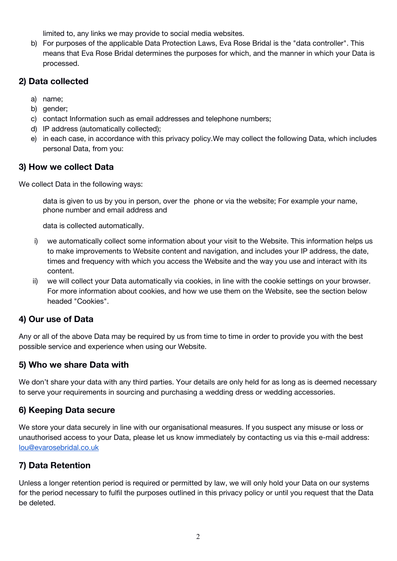limited to, any links we may provide to social media websites.

b) For purposes of the applicable Data Protection Laws, Eva Rose Bridal is the "data controller". This means that Eva Rose Bridal determines the purposes for which, and the manner in which your Data is processed.

### **2) Data collected**

- a) name;
- b) gender;
- c) contact Information such as email addresses and telephone numbers;
- d) IP address (automatically collected);
- e) in each case, in accordance with this privacy policy.We may collect the following Data, which includes personal Data, from you:

#### **3) How we collect Data**

We collect Data in the following ways:

data is given to us by you in person, over the phone or via the website; For example your name, phone number and email address and

data is collected automatically.

- i) we automatically collect some information about your visit to the Website. This information helps us to make improvements to Website content and navigation, and includes your IP address, the date, times and frequency with which you access the Website and the way you use and interact with its content.
- ii) we will collect your Data automatically via cookies, in line with the cookie settings on your browser. For more information about cookies, and how we use them on the Website, see the section below headed "Cookies".

# **4) Our use of Data**

Any or all of the above Data may be required by us from time to time in order to provide you with the best possible service and experience when using our Website.

#### **5) Who we share Data with**

We don't share your data with any third parties. Your details are only held for as long as is deemed necessary to serve your requirements in sourcing and purchasing a wedding dress or wedding accessories.

#### **6) Keeping Data secure**

We store your data securely in line with our organisational measures. If you suspect any misuse or loss or unauthorised access to your Data, please let us know immediately by contacting us via this e-mail address: [lou@evarosebridal.co.uk](mailto:lou@evarosebridal.co.uk)

# **7) Data Retention**

Unless a longer retention period is required or permitted by law, we will only hold your Data on our systems for the period necessary to fulfil the purposes outlined in this privacy policy or until you request that the Data be deleted.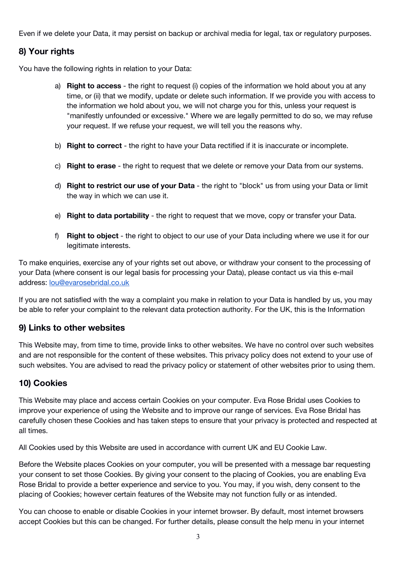Even if we delete your Data, it may persist on backup or archival media for legal, tax or regulatory purposes.

# **8) Your rights**

You have the following rights in relation to your Data:

- a) **Right to access** the right to request (i) copies of the information we hold about you at any time, or (ii) that we modify, update or delete such information. If we provide you with access to the information we hold about you, we will not charge you for this, unless your request is "manifestly unfounded or excessive." Where we are legally permitted to do so, we may refuse your request. If we refuse your request, we will tell you the reasons why.
- b) **Right to correct** the right to have your Data rectified if it is inaccurate or incomplete.
- c) **Right to erase** the right to request that we delete or remove your Data from our systems.
- d) **Right to restrict our use of your Data** the right to "block" us from using your Data or limit the way in which we can use it.
- e) **Right to data portability** the right to request that we move, copy or transfer your Data.
- f) **Right to object** the right to object to our use of your Data including where we use it for our legitimate interests.

To make enquiries, exercise any of your rights set out above, or withdraw your consent to the processing of your Data (where consent is our legal basis for processing your Data), please contact us via this e-mail address: [lou@evarosebridal.co.uk](mailto:lou@evarosebridal.co.uk)

If you are not satisfied with the way a complaint you make in relation to your Data is handled by us, you may be able to refer your complaint to the relevant data protection authority. For the UK, this is the Information

#### **9) Links to other websites**

This Website may, from time to time, provide links to other websites. We have no control over such websites and are not responsible for the content of these websites. This privacy policy does not extend to your use of such websites. You are advised to read the privacy policy or statement of other websites prior to using them.

#### **10) Cookies**

This Website may place and access certain Cookies on your computer. Eva Rose Bridal uses Cookies to improve your experience of using the Website and to improve our range of services. Eva Rose Bridal has carefully chosen these Cookies and has taken steps to ensure that your privacy is protected and respected at all times.

All Cookies used by this Website are used in accordance with current UK and EU Cookie Law.

Before the Website places Cookies on your computer, you will be presented with a message bar requesting your consent to set those Cookies. By giving your consent to the placing of Cookies, you are enabling Eva Rose Bridal to provide a better experience and service to you. You may, if you wish, deny consent to the placing of Cookies; however certain features of the Website may not function fully or as intended.

You can choose to enable or disable Cookies in your internet browser. By default, most internet browsers accept Cookies but this can be changed. For further details, please consult the help menu in your internet